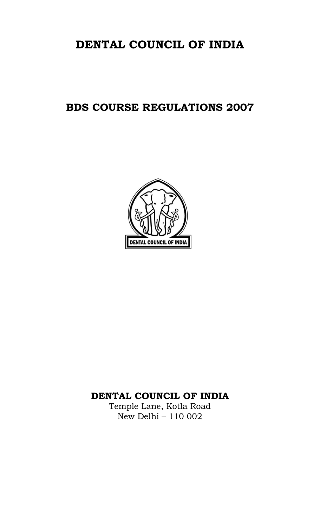# DENTAL COUNCIL OF INDIA

# BDS COURSE REGULATIONS 2007



# DENTAL COUNCIL OF INDIA

Temple Lane, Kotla Road New Delhi – 110 002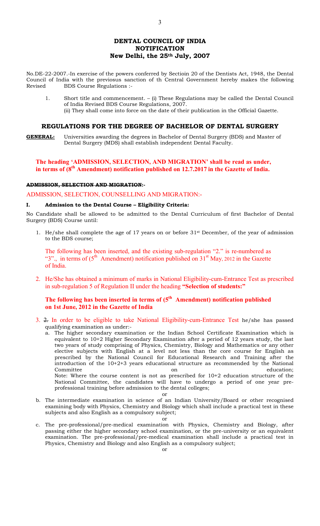3

No.DE-22-2007.-In exercise of the powers conferred by Sectioin 20 of the Dentists Act, 1948, the Dental Council of India with the previosus sanction of th Central Government hereby makes the following Revised BDS Course Regulations :-

1. Short title and commencement. – (i) These Regulations may be called the Dental Council of India Revised BDS Course Regulations, 2007. (ii) They shall come into force on the date of their publication in the Official Gazette.

#### REGULATIONS FOR THE DEGREE OF BACHELOR OF DENTAL SURGERY

**GENERAL:** Universities awarding the degrees in Bachelor of Dental Surgery (BDS) and Master of Dental Surgery (MDS) shall establish independent Dental Faculty.

# The heading 'ADMISSION, SELECTION, AND MIGRATION' shall be read as under, in terms of  $(8<sup>th</sup> A$ mendment) notification published on 12.7.2017 in the Gazette of India.

## ADMISSION, SELECTION AND MIGRATION:-

ADMISSION, SELECTION, COUNSELLING AND MIGRATION:-

#### I. Admission to the Dental Course – Eligibility Criteria:

No Candidate shall be allowed to be admitted to the Dental Curriculum of first Bachelor of Dental Surgery (BDS) Course until:

1. He/she shall complete the age of 17 years on or before  $31<sup>st</sup>$  December, of the year of admission to the BDS course;

The following has been inserted, and the existing sub-regulation "2." is re-numbered as "3"., in terms of  $(5<sup>th</sup>$  Amendment) notification published on 31<sup>st</sup> May, 2012 in the Gazette of India.

2. He/She has obtained a minimum of marks in National Eligibility-cum-Entrance Test as prescribed in sub-regulation 5 of Regulation II under the heading "Selection of students:"

# The following has been inserted in terms of  $(5<sup>th</sup>$  Amendment) notification published on 1st June, 2012 in the Gazette of India

- 3. 2. In order to be eligible to take National Eligibility-cum-Entrance Test he/she has passed qualifying examination as under:
	- a. The higher secondary examination or the Indian School Certificate Examination which is equivalent to 10+2 Higher Secondary Examination after a period of 12 years study, the last two years of study comprising of Physics, Chemistry, Biology and Mathematics or any other elective subjects with English at a level not less than the core course for English as prescribed by the National Council for Educational Research and Training after the introduction of the 10+2+3 years educational structure as recommended by the National Committee **on** education; Note: Where the course content is not as prescribed for 10+2 education structure of the National Committee, the candidates will have to undergo a period of one year preprofessional training before admission to the dental colleges;
- or b. The intermediate examination in science of an Indian University/Board or other recognised examining body with Physics, Chemistry and Biology which shall include a practical test in these
	- subjects and also English as a compulsory subject;

or

c. The pre-professional/pre-medical examination with Physics, Chemistry and Biology, after passing either the higher secondary school examination, or the pre-university or an equivalent examination. The pre-professional/pre-medical examination shall include a practical test in Physics, Chemistry and Biology and also English as a compulsory subject;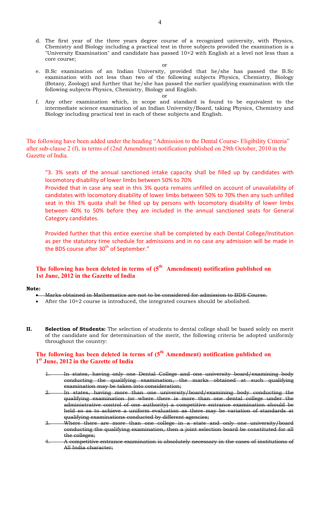- d. The first year of the three years degree course of a recognized university, with Physics, Chemistry and Biology including a practical test in three subjects provided the examination is a "University Examination" and candidate has passed 10+2 with English at a level not less than a core course;
	- or
- e. B.Sc examination of an Indian University, provided that he/she has passed the B.Sc examination with not less than two of the following subjects Physics, Chemistry, Biology (Botany, Zoology) and further that he/she has passed the earlier qualifying examination with the following subjects-Physics, Chemistry, Biology and English.
	- or
- f. Any other examination which, in scope and standard is found to be equivalent to the intermediate science examination of an Indian University/Board, taking Physics, Chemistry and Biology including practical test in each of these subjects and English.

The following have been added under the heading "Admission to the Dental Course- Eligibility Criteria" after sub-clause 2 (f), in terms of (2nd Amendment) notification published on 29th October, 2010 in the Gazette of India.

"3. 3% seats of the annual sanctioned intake capacity shall be filled up by candidates with locomotory disability of lower limbs between 50% to 70%

Provided that in case any seat in this 3% quota remains unfilled on account of unavailability of candidates with locomotory disability of lower limbs between 50% to 70% then any such unfilled seat in this 3% quota shall be filled up by persons with locomotory disability of lower limbs between 40% to 50% before they are included in the annual sanctioned seats for General Category candidates.

Provided further that this entire exercise shall be completed by each Dental College/Institution as per the statutory time schedule for admissions and in no case any admission will be made in the BDS course after  $30<sup>th</sup>$  of September."

# The following has been deleted in terms of  $(5<sup>th</sup>$  Amendment) notification published on 1st June, 2012 in the Gazette of India

#### Note:

- Marks obtained in Mathematics are not to be considered for admission to BDS Course.
- After the 10+2 course is introduced, the integrated courses should be abolished.
- II. Selection of Students: The selection of students to dental college shall be based solely on merit of the candidate and for determination of the merit, the following criteria be adopted uniformly throughout the country:

# The following has been deleted in terms of  $(5<sup>th</sup> Amendment)$  notification published on 1<sup>st</sup> June, 2012 in the Gazette of India

- 1. In states, having only one Dental College and one university board/examining body conducting the qualifying examination, the marks obtained at such qualifying examination may be taken into consideration;
- 2. In states, having more than one university/board/examining body conducting the qualifying examination (or where there is more than one dental college under the administrative control of one authority) a competitive entrance examination should be held so as to achieve a uniform evaluation as there may be variation of standards at qualifying examinations conducted by different agencies;
- 3. Where there are more than one college in a state and only one university/board conducting the qualifying examination, then a joint selection board be constituted for all the colleges;
- 4. A competitive entrance examination is absolutely necessary in the cases of institutions of All India character;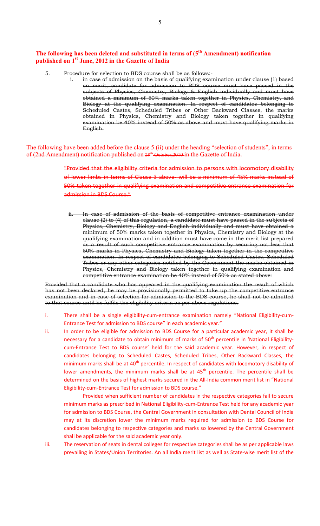# The following has been deleted and substituted in terms of  $(5<sup>th</sup> Amendment)$  notification published on 1<sup>st</sup> June, 2012 in the Gazette of India

- 5. Procedure for selection to BDS course shall be as follows:
	- in case of admission on the basis of qualifying examination under clause (1) based on merit, candidate for admission to BDS course must have passed in the subjects of Physics, Chemistry, Biology & English individually and must have obtained a minimum of 50% marks taken together in Physics, Chemistry, and Biology at the qualifying examination. In respect of candidates belonging to Scheduled Castes, Scheduled Tribes or Other Backward Classes, the marks obtained in Physics, Chemistry and Biology taken together in qualifying examination be 40% instead of 50% as above and must have qualifying marks in English.

The following have been added before the clause 5 (ii) under the heading "selection of students", in terms of (2nd Amendment) notification published on 29<sup>th</sup> October, 2010 in the Gazette of India.

> "Provided that the eligibility criteria for admission to persons with locomotory disability of lower limbs in terms of Clause 3 above- will be a minimum of 45% marks instead of 50% taken together in qualifying examination and competitive entrance examination for admission in BDS Course."

In case of admission of the basis of competitive entrance examination under clause (2) to (4) of this regulation, a candidate must have passed in the subjects of Physics, Chemistry, Biology and English individually and must have obtained a minimum of 50% marks taken together in Physics, Chemistry and Biology at the qualifying examination and in addition must have come in the merit list prepared as a result of such competitive entrance examination by securing not less that 50% marks in Physics, Chemistry and Biology taken together in the competitive examination. In respect of candidates belonging to Scheduled Castes, Scheduled Tribes or any other categories notified by the Government the marks obtained in Physics, Chemistry and Biology taken together in qualifying examination and competitive entrance examination be 40% instead of 50% as stated above:

Provided that a candidate who has appeared in the qualifying examination the result of which has not been declared, he may be provisionally permitted to take up the competitive entrance examination and in case of selection for admission to the BDS course, he shall not be admitted to that course until he fulfils the eligibility criteria as per above regulations.

- i. There shall be a single eligibility-cum-entrance examination namely "National Eligibility-cum-Entrance Test for admission to BDS course" in each academic year."
- ii. In order to be eligible for admission to BDS Course for a particular academic year, it shall be necessary for a candidate to obtain minimum of marks of 50<sup>th</sup> percentile in 'National Eligibilitycum-Entrance Test to BDS course' held for the said academic year. However, in respect of candidates belonging to Scheduled Castes, Scheduled Tribes, Other Backward Classes, the minimum marks shall be at 40<sup>th</sup> percentile. In respect of candidates with locomotory disability of lower amendments, the minimum marks shall be at 45<sup>th</sup> percentile. The percentile shall be determined on the basis of highest marks secured in the All-India common merit list in "National Eligibility-cum-Entrance Test for admission to BDS course."

 Provided when sufficient number of candidates in the respective categories fail to secure minimum marks as prescribed in National Eligibility-cum-Entrance Test held for any academic year for admission to BDS Course, the Central Government in consultation with Dental Council of India may at its discretion lower the minimum marks required for admission to BDS Course for candidates belonging to respective categories and marks so lowered by the Central Government shall be applicable for the said academic year only.

iii. The reservation of seats in dental colleges for respective categories shall be as per applicable laws prevailing in States/Union Territories. An all India merit list as well as State-wise merit list of the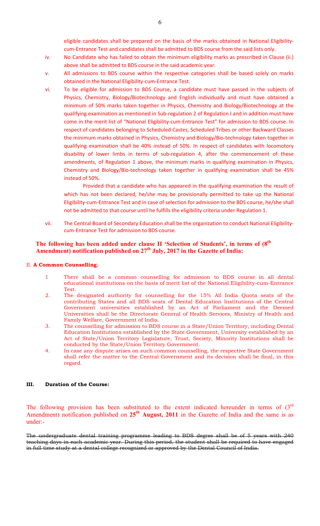eligible candidates shall be prepared on the basis of the marks obtained in National Eligibilitycum-Entrance Test and candidates shall be admitted to BDS course from the said lists only.

- iv. No Candidate who has failed to obtain the minimum eligibility marks as prescribed in Clause (ii.) above shall be admitted to BDS course in the said academic year.
- v. All admissions to BDS course within the respective categories shall be based solely on marks obtained in the National Eligibility-cum-Entrance Test.
- vi. To be eligible for admission to BDS Course, a candidate must have passed in the subjects of Physics, Chemistry, Biology/Biotechnology and English individually and must have obtained a minimum of 50% marks taken together in Physics, Chemistry and Biology/Biotechnology at the qualifying examination as mentioned in Sub-regulation 2 of Regulation I and in addition must have come in the merit list of "National Eligibility-cum-Entrance Test" for admission to BDS course. In respect of candidates belonging to Scheduled Castes, Scheduled Tribes or other Backward Classes the minimum marks obtained in Physics, Chemistry and Biology/Bio-technology taken together in qualifying examination shall be 40% instead of 50%. In respect of candidates with locomotory disability of lower limbs in terms of sub-regulation 4, after the commencement of these amendments, of Regulation 1 above, the minimum marks in qualifying examination in Physics, Chemistry and Biology/Bio-technology taken together in qualifying examination shall be 45% instead of 50%.

 Provided that a candidate who has appeared in the qualifying examination the result of which has not been declared, he/she may be provisionally permitted to take up the National Eligibility-cum-Entrance Test and in case of selection for admission to the BDS course, he/she shall not be admitted to that course until he fulfills the eligibility criteria under Regulation 1.

vii. The Central Board of Secondary Education shall be the organization to conduct National Eligibilitycum-Entrance Test for admission to BDS course.

# The following has been added under clause II 'Selection of Students', in terms of  $(8<sup>th</sup>$ Amendment) notification published on  $27<sup>th</sup>$  July, 2017 in the Gazette of India:

# II. A Common Counselling.

- 1 There shall be a common counselling for admission to BDS course in all dental educational institutions on the basis of merit list of the National Eligibility-cum-Entrance Test.
- 2. The designated authority for counselling for the 15% All India Quota seats of the contributing States and all BDS seats of Dental Education Institutions of the Central Government universities established by an Act of Parliament and the Deemed Universities shall be the Directorate General of Health Services, Ministry of Health and Family Welfare, Government of India.
- 3. The counselling for admission to BDS course in a State/Union Territory, including Dental Education Institutions established by the State Government, University established by an Act of State/Union Territory Legislature, Trust, Society, Minority Institutions shall be conducted by the State/Union Territory Government.
- 4. In case any dispute arises on such common counselling, the respective State Government shall refer the matter to the Central Government and its decision shall be final, in this regard.

# III. Duration of the Course:

The following provision has been substituted to the extent indicated hereunder in terms of  $(3<sup>rd</sup>$ Amendment) notification published on  $25<sup>th</sup>$  August, 2011 in the Gazette of India and the same is as under:-

The undergraduate dental training programme leading to BDS degree shall be of 5 years with 240 teaching days in each academic year. During this period, the student shall be required to have engaged in full time study at a dental college recognized or approved by the Dental Council of India.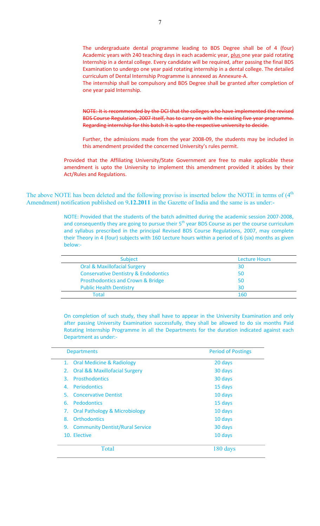The undergraduate dental programme leading to BDS Degree shall be of 4 (four) Academic years with 240 teaching days in each academic year, plus one year paid rotating Internship in a dental college. Every candidate will be required, after passing the final BDS Examination to undergo one year paid rotating internship in a dental college. The detailed curriculum of Dental Internship Programme is annexed as Annexure-A.

The internship shall be compulsory and BDS Degree shall be granted after completion of one year paid Internship.

NOTE: It is recommended by the DCI that the colleges who have implemented the revised BDS Course Regulation, 2007 itself, has to carry on with the existing five year programme. Regarding internship for this batch it is upto the respective university to decide.

Further, the admissions made from the year 2008-09, the students may be included in this amendment provided the concerned University's rules permit.

Provided that the Affiliating University/State Government are free to make applicable these amendment is upto the University to implement this amendment provided it abides by their Act/Rules and Regulations.

The above NOTE has been deleted and the following proviso is inserted below the NOTE in terms of  $(4<sup>th</sup>$ Amendment) notification published on 9.12.2011 in the Gazette of India and the same is as under:-

> NOTE: Provided that the students of the batch admitted during the academic session 2007-2008, and consequently they are going to pursue their 5<sup>th</sup> year BDS Course as per the course curriculum and syllabus prescribed in the principal Revised BDS Course Regulations, 2007, may complete their Theory in 4 (four) subjects with 160 Lecture hours within a period of 6 (six) months as given below:-

| <b>Subject</b>                                  | <b>Lecture Hours</b> |
|-------------------------------------------------|----------------------|
| <b>Oral &amp; Maxillofacial Surgery</b>         | 30                   |
| <b>Conservative Dentistry &amp; Endodontics</b> | 50                   |
| Prosthodontics and Crown & Bridge               | 50                   |
| <b>Public Health Dentistry</b>                  | 30                   |
| Total                                           | 1 60                 |

On completion of such study, they shall have to appear in the University Examination and only after passing University Examination successfully, they shall be allowed to do six months Paid Rotating Internship Programme in all the Departments for the duration indicated against each Department as under:-

| <b>Departments</b>                                 | <b>Period of Postings</b> |
|----------------------------------------------------|---------------------------|
| 1. Oral Medicine & Radiology                       | 20 days                   |
| <b>Oral &amp;&amp; Maxillofacial Surgery</b><br>2. | 30 days                   |
| <b>Prosthodontics</b><br>3.                        | 30 days                   |
| <b>Periodontics</b><br>4.                          | 15 days                   |
| <b>Concervative Dentist</b><br>5.                  | 10 days                   |
| <b>Pedodontics</b><br>6.                           | 15 days                   |
| <b>Oral Pathology &amp; Microbiology</b><br>7.     | 10 days                   |
| Orthodontics<br>8.                                 | 10 days                   |
| <b>Community Dentist/Rural Service</b><br>9.       | 30 days                   |
| 10. Elective                                       | 10 days                   |
| Total                                              | 180 days                  |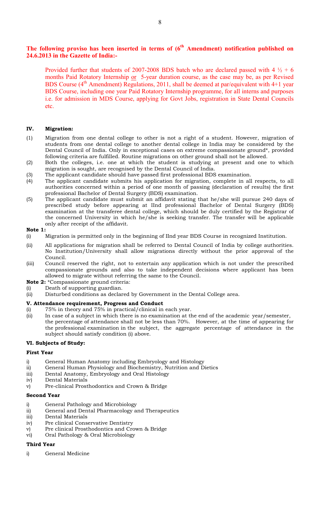# The following proviso has been inserted in terms of  $(6<sup>th</sup>$  Amendment) notification published on 24.6.2013 in the Gazette of India:-

Provided further that students of 2007-2008 BDS batch who are declared passed with  $4\frac{1}{2} + 6$ months Paid Rotatory Internship or 5-year duration course, as the case may be, as per Revised BDS Course  $(4<sup>th</sup>$  Amendment) Regulations, 2011, shall be deemed at par/equivalent with 4+1 year BDS Course, including one year Paid Rotatory Internship programme, for all interns and purposes i.e. for admission in MDS Course, applying for Govt Jobs, registration in State Dental Councils etc.

# IV. Migration:

- (1) Migration from one dental college to other is not a right of a student. However, migration of students from one dental college to another dental college in India may be considered by the Dental Council of India. Only in exceptional cases on extreme compassionate ground\*, provided following criteria are fulfilled. Routine migrations on other ground shall not be allowed.
- (2) Both the colleges, i.e. one at which the student is studying at present and one to which migration is sought, are recognised by the Dental Council of India.
- (3) The applicant candidate should have passed first professional BDS examination.
- (4) The applicant candidate submits his application for migration, complete in all respects, to all authorities concerned within a period of one month of passing (declaration of results) the first professional Bachelor of Dental Surgery (BDS) examination.
- (5) The applicant candidate must submit an affidavit stating that he/she will pursue 240 days of prescribed study before appearing at IInd professional Bachelor of Dental Surgery (BDS) examination at the transferee dental college, which should be duly certified by the Registrar of the concerned University in which he/she is seeking transfer. The transfer will be applicable only after receipt of the affidavit.

### Note 1:

- (i) Migration is permitted only in the beginning of IInd year BDS Course in recognized Institution.
- (ii) All applications for migration shall be referred to Dental Council of India by college authorities. No Institution/University shall allow migrations directly without the prior approval of the Council.
- (iii) Council reserved the right, not to entertain any application which is not under the prescribed compassionate grounds and also to take independent decisions where applicant has been allowed to migrate without referring the same to the Council.
- Note 2: \*Compassionate ground criteria:
- (i) Death of supporting guardian.
- (ii) Disturbed conditions as declared by Government in the Dental College area.

#### V. Attendance requirement, Progress and Conduct

- (i) 75% in theory and 75% in practical/clinical in each year.
- (ii) In case of a subject in which there is no examination at the end of the academic year/semester, the percentage of attendance shall not be less than 70%. However, at the time of appearing for the professional examination in the subject, the aggregate percentage of attendance in the subject should satisfy condition (i) above.

#### VI. Subjects of Study:

#### First Year

- i) General Human Anatomy including Embryology and Histology
- ii) General Human Physiology and Biochemistry, Nutrition and Dietics
- iii) Dental Anatomy, Embryology and Oral Histology
- iv) Dental Materials
- v) Pre-clinical Prosthodontics and Crown & Bridge

#### Second Year

- i) General Pathology and Microbiology
- ii) General and Dental Pharmacology and Therapeutics
- iii) Dental Materials
- iv) Pre clinical Conservative Dentistry
- v) Pre clinical Prosthodontics and Crown & Bridge
- vi) Oral Pathology & Oral Microbiology

#### Third Year

i) General Medicine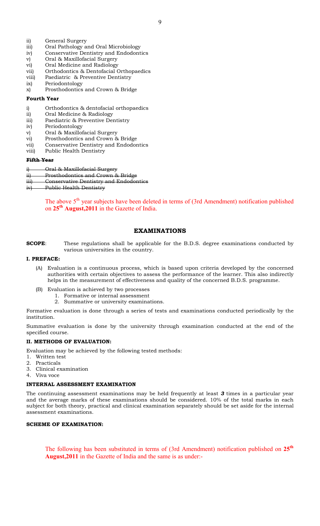- ii) General Surgery
- iii) Oral Pathology and Oral Microbiology
- iv) Conservative Dentistry and Endodontics
- v) Oral & Maxillofacial Surgery
- vi) Oral Medicine and Radiology
- vii) Orthodontics & Dentofacial Orthopaedics
- viii) Paediatric & Preventive Dentistry
- ix) Periodontology
- x) Prosthodontics and Crown & Bridge

#### Fourth Year

- i) Orthodontics & dentofacial orthopaedics
- ii) Oral Medicine & Radiology
- iii) Paediatric & Preventive Dentistry
- iv) Periodontology
- v) Oral & Maxillofacial Surgery
- vi) Prosthodontics and Crown & Bridge
- vii) Conservative Dentistry and Endodontics
- viii) Public Health Dentistry

### Fifth Year

- i) Oral & Maxillofacial Surgery
- ii) Prosthodontics and Crown & Bridge
- iii) Conservative Dentistry and Endodontics
- iv) Public Health Dentistry

The above  $5<sup>th</sup>$  year subjects have been deleted in terms of (3rd Amendment) notification published on 25<sup>th</sup> August, 2011 in the Gazette of India.

# EXAMINATIONS

## SCOPE: These regulations shall be applicable for the B.D.S. degree examinations conducted by various universities in the country.

### I. PREFACE:

- (A) Evaluation is a continuous process, which is based upon criteria developed by the concerned authorities with certain objectives to assess the performance of the learner. This also indirectly helps in the measurement of effectiveness and quality of the concerned B.D.S. programme.
- (B) Evaluation is achieved by two processes
	- 1. Formative or internal assessment
	- 2. Summative or university examinations.

Formative evaluation is done through a series of tests and examinations conducted periodically by the institution.

Summative evaluation is done by the university through examination conducted at the end of the specified course.

#### II. METHODS OF EVALUATION:

Evaluation may be achieved by the following tested methods:

- 1. Written test
- 2. Practicals
- 3. Clinical examination
- 4. Viva voce

# INTERNAL ASSESSMENT EXAMINATION

The continuing assessment examinations may be held frequently at least 3 times in a particular year and the average marks of these examinations should be considered. 10% of the total marks in each subject for both theory, practical and clinical examination separately should be set aside for the internal assessment examinations.

# SCHEME OF EXAMINATION:

The following has been substituted in terms of (3rd Amendment) notification published on 25<sup>th</sup> August,2011 in the Gazette of India and the same is as under:-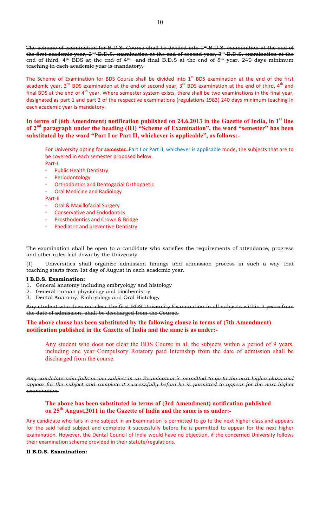The scheme of examination for B.D.S. Course shall be divided into  $1<sup>st</sup>$  B.D.S. examination at the end of the first academic year, 2<sup>nd</sup> B.D.S. examination at the end of second year, 3<sup>rd</sup> B.D.S. examination at the end of third, 4<sup>th</sup> BDS at the end of 4<sup>th</sup> and final B.D.S at the end of 5<sup>th</sup> year. 240 days minimum teaching in each academic year is mandatory.

The Scheme of Examination for BDS Course shall be divided into  $1<sup>st</sup>$  BDS examination at the end of the first academic year,  $2^{nd}$  BDS examination at the end of second year,  $3^{rd}$  BDS examination at the end of third,  $4^{th}$  and final BDS at the end of  $4<sup>th</sup>$  year. Where semester system exists, there shall be two examinations in the final year, designated as part 1 and part 2 of the respective examinations (regulations 1983) 240 days minimum teaching in each academic year is mandatory.

# In terms of (6th Amendment) notification published on 24.6.2013 in the Gazette of India, in 1<sup>st</sup> line of 2<sup>nd</sup> paragraph under the heading (III) "Scheme of Examination", the word "semester" has been substituted by the word "Part I or Part II, whichever is applicable", as follows:-

For University opting for semester-Part I or Part II, whichever is applicable mode, the subjects that are to be covered in each semester proposed below.

- Part-I
- **Public Health Dentistry**
- Periodontology
- Orthodontics and Dentogacial Orthopaetic
- Oral Medicine and Radiology

Part-II

- Oral & Maxillofacial Surgery
- Conservative and Endodontics
- Prosthodontics and Crown & Bridge
- Paediatric and preventive Dentistry

The examination shall be open to a candidate who satisfies the requirements of attendance, progress and other rules laid down by the University.

(1) Universities shall organize admission timings and admission process in such a way that teaching starts from 1st day of August in each academic year.

#### I B.D.S. Examination:

- 1. General anatomy including embryology and histology
- 2. General human physiology and biochemistry
- 3. Dental Anatomy, Embryology and Oral Histology

Any student who does not clear the first BDS University Examination in all subjects within 3 years from the date of admission, shall be discharged from the Course.

# The above clause has been substituted by the following clause in terms of (7th Amendment) notification published in the Gazette of India and the same is as under:-

Any student who does not clear the BDS Course in all the subjects within a period of 9 years, including one year Compulsory Rotatory paid Internship from the date of admission shall be discharged from the course.

Any candidate who fails in one subject in an Examination is permitted to go to the next higher class and appear for the subject and complete it successfully before he is permitted to appear for the next higher examination.

# The above has been substituted in terms of (3rd Amendment) notification published on 25<sup>th</sup> August, 2011 in the Gazette of India and the same is as under:-

Any candidate who fails in one subject in an Examination is permitted to go to the next higher class and appears for the said failed subject and complete it successfully before he is permitted to appear for the next higher examination. However, the Dental Council of India would have no objection, if the concerned University follows their examination scheme provided in their statute/regulations.

#### II B.D.S. Examination: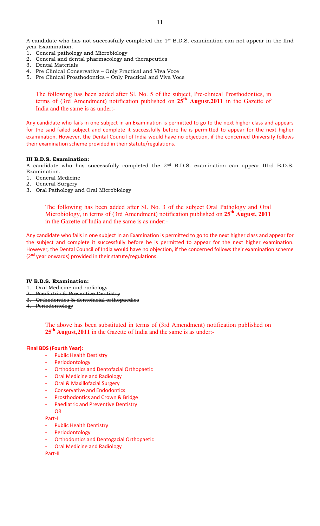A candidate who has not successfully completed the 1st B.D.S. examination can not appear in the IInd year Examination.

- 1. General pathology and Microbiology
- 2. General and dental pharmacology and therapeutics
- 3. Dental Materials
- 4. Pre Clinical Conservative Only Practical and Viva Voce
- 5. Pre Clinical Prosthodontics Only Practical and Viva Voce

The following has been added after Sl. No. 5 of the subject, Pre-clinical Prosthodontics, in terms of (3rd Amendment) notification published on  $25<sup>th</sup>$  August, 2011 in the Gazette of India and the same is as under:-

Any candidate who fails in one subject in an Examination is permitted to go to the next higher class and appears for the said failed subject and complete it successfully before he is permitted to appear for the next higher examination. However, the Dental Council of India would have no objection, if the concerned University follows their examination scheme provided in their statute/regulations.

#### III B.D.S. Examination:

A candidate who has successfully completed the 2nd B.D.S. examination can appear IIIrd B.D.S. Examination.

- 1. General Medicine
- 2. General Surgery
- 3. Oral Pathology and Oral Microbiology

The following has been added after Sl. No. 3 of the subject Oral Pathology and Oral Microbiology, in terms of (3rd Amendment) notification published on  $25<sup>th</sup>$  August, 2011 in the Gazette of India and the same is as under:-

Any candidate who fails in one subject in an Examination is permitted to go to the next higher class and appear for the subject and complete it successfully before he is permitted to appear for the next higher examination. However, the Dental Council of India would have no objection, if the concerned follows their examination scheme  $(2<sup>nd</sup>$  year onwards) provided in their statute/regulations.

#### IV B.D.S. Examination:

- 1. Oral Medicine and radiology
- 2. Paediatric & Preventive Dentistry
- 3. Orthodontics & dentofacial orthopaedics
- 4. Periodontology

The above has been substituted in terms of (3rd Amendment) notification published on 25<sup>th</sup> August, 2011 in the Gazette of India and the same is as under:-

# Final BDS (Fourth Year):

- **Public Health Destistry**
- Periodontology
- Orthodontics and Dentofacial Orthopaetic
- Oral Medicine and Radiology
- Oral & Maxillofacial Surgery
- Conservative and Endodontics
- Prosthodontics and Crown & Bridge
- Paediatric and Preventive Dentistry
- OR

Part-I

- Public Health Dentistry
- Periodontology
- Orthodontics and Dentogacial Orthopaetic
- Oral Medicine and Radiology

Part-II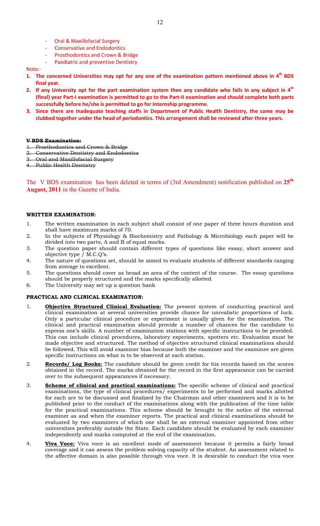- Oral & Maxillofacial Surgery
- Conservative and Endodontics
- Prosthodontics and Crown & Bridge
- Paediatric and preventive Dentistry

#### Note:-

- 1. The concerned Universities may opt for any one of the examination pattern mentioned above in 4<sup>th</sup> BDS final year.
- 2. If any University opt for the part examination system then any candidate who fails in any subject in  $4<sup>th</sup>$ (final) year Part-I examination is permitted to go to the Part-II examination and should complete both parts successfully before he/she is permitted to go for Internship programme.
- 3. Since there are Inadequate teaching staffs in Department of Public Health Dentistry, the same may be clubbed together under the head of periodontics. This arrangement shall be reviewed after three years.

#### V BDS Examination:

- 1. Prosthodontics and Crown & Bridge
- 2. Conservative Dentistry and Endodontics
- 3. Oral and Maxillofacial Surgery
- 4. Public Health Dentistry

The V BDS examination has been deleted in terms of (3rd Amendment) notification published on 25<sup>th</sup> August, 2011 in the Gazette of India.

#### WRITTEN EXAMINATION:

- 1. The written examination in each subject shall consist of one paper of three hours duration and shall have maximum marks of 70.
- 2. In the subjects of Physiology & Biochemistry and Pathology & Microbiology each paper will be divided into two parts, A and B of equal marks.
- 3. The question paper should contain different types of questions like essay, short answer and objective type / M.C.Q's.
- 4. The nature of questions set, should be aimed to evaluate students of different standards ranging from average to excellent.
- 5. The questions should cover as broad an area of the content of the course. The essay questions should be properly structured and the marks specifically allotted.
- 6. The University may set up a question bank

## PRACTICAL AND CLINICAL EXAMINATION:

- 1. **Objective Structured Clinical Evaluation:** The present system of conducting practical and clinical examination at several universities provide chance for unrealistic proportions of luck. Only a particular clinical procedure or experiment is usually given for the examination. The clinical and practical examination should provide a number of chances for the candidate to express one's skills. A number of examination stations with specific instructions to be provided. This can include clinical procedures, laboratory experiments, spotters etc. Evaluation must be made objective and structured. The method of objective structured clinical examinations should be followed. This will avoid examiner bias because both the examiner and the examinee are given specific instructions on what is to be observed at each station.
- 2. Records/ Log Books: The candidate should be given credit for his records based on the scores obtained in the record. The marks obtained for the record in the first appearance can be carried over to the subsequent appearances if necessary.
- 3. Scheme of clinical and practical examinations: The specific scheme of clinical and practical examinations, the type of clinical procedures/ experiments to be performed and marks allotted for each are to be discussed and finalized by the Chairman and other examiners and it is to be published prior to the conduct of the examinations along with the publication of the time table for the practical examinations. This scheme should be brought to the notice of the external examiner as and when the examiner reports. The practical and clinical examinations should be evaluated by two examiners of which one shall be an external examiner appointed from other universities preferably outside the State. Each candidate should be evaluated by each examiner independently and marks computed at the end of the examination.
- 4. Viva Voce: Viva voce is an excellent mode of assessment because it permits a fairly broad coverage and it can assess the problem solving capacity of the student. An assessment related to the affective domain is also possible through viva voce. It is desirable to conduct the viva voce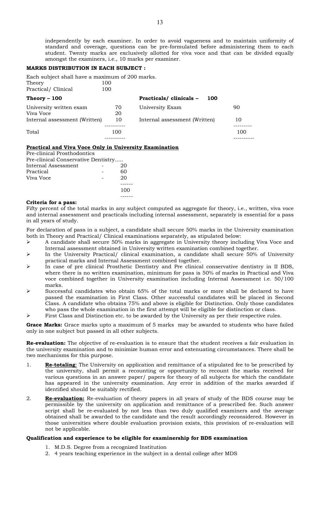independently by each examiner. In order to avoid vagueness and to maintain uniformity of standard and coverage, questions can be pre-formulated before administering them to each student. Twenty marks are exclusively allotted for viva voce and that can be divided equally amongst the examiners, i.e., 10 marks per examiner.

#### MARKS DISTRIBUTION IN EACH SUBJECT :

Each subject shall have a maximum of 200 marks. Theory Practical/ Clinical 100

| Theory $-100$                 |     | <b>Practicals/ clinicals -</b><br>100 |     |
|-------------------------------|-----|---------------------------------------|-----|
| University written exam       | 70  | University Exam                       | 90  |
| Viva Voce                     | 20  |                                       |     |
| Internal assessment (Written) | 10  | Internal assessment (Written)         | 10  |
|                               |     |                                       |     |
| Total                         | 100 |                                       | 100 |
|                               |     |                                       |     |

#### Practical and Viva Voce Only in University Examination

Pre-clinical Prosthodontics Pre-clinical Conservative Dentistry….. Internal Assessment - 20<br>Practical - 60 Practical Viva Voce 20 ------ 100 ------

#### Criteria for a pass:

Fifty percent of the total marks in any subject computed as aggregate for theory, i.e., written, viva voce and internal assessment and practicals including internal assessment, separately is essential for a pass in all years of study.

For declaration of pass in a subject, a candidate shall secure 50% marks in the University examination both in Theory and Practical/ Clinical examinations separately, as stipulated below:

- $\geq$  A candidate shall secure 50% marks in aggregate in University theory including Viva Voce and Internal assessment obtained in University written examination combined together.
- $\triangleright$  In the University Practical/ clinical examination, a candidate shall secure 50% of University practical marks and Internal Assessment combined together.
- $\triangleright$  In case of pre clinical Prosthetic Dentistry and Pre clinical conservative dentistry in II BDS, where there is no written examination, minimum for pass is 50% of marks in Practical and Viva voce combined together in University examination including Internal Assessment i.e. 50/100 marks.
- Successful candidates who obtain 65% of the total marks or more shall be declared to have passed the examination in First Class. Other successful candidates will be placed in Second Class. A candidate who obtains 75% and above is eligible for Distinction. Only those candidates who pass the whole examination in the first attempt will be eligible for distinction or class.
- First Class and Distinction etc. to be awarded by the University as per their respective rules.

Grace Marks: Grace marks upto a maximum of 5 marks may be awarded to students who have failed only in one subject but passed in all other subjects.

Re-evaluation: The objective of re-evaluation is to ensure that the student receives a fair evaluation in the university examination and to minimize human error and extenuating circumstances. There shall be two mechanisms for this purpose.

- 1. Re-totaling: The University on application and remittance of a stipulated fee to be prescribed by the university, shall permit a recounting or opportunity to recount the marks received for various questions in an answer paper/ papers for theory of all subjects for which the candidate has appeared in the university examination. Any error in addition of the marks awarded if identified should be suitably rectified.
- 2. Re-evaluation: Re-evaluation of theory papers in all years of study of the BDS course may be permissible by the university on application and remittance of a prescribed fee. Such answer script shall be re-evaluated by not less than two duly qualified examiners and the average obtained shall be awarded to the candidate and the result accordingly reconsidered. However in those universities where double evaluation provision exists, this provision of re-evaluation will not be applicable.

#### Qualification and experience to be eligible for examinership for BDS examination

- 1. M.D.S. Degree from a recognized Institution
- 2. 4 years teaching experience in the subject in a dental college after MDS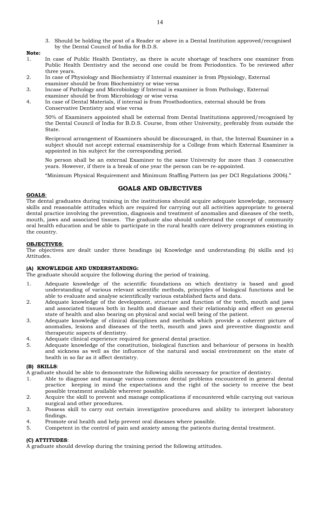- 3. Should be holding the post of a Reader or above in a Dental Institution approved/recognised by the Dental Council of India for B.D.S.
- Note:
- 1. In case of Public Health Dentistry, as there is acute shortage of teachers one examiner from Public Health Dentistry and the second one could be from Periodontics. To be reviewed after three years.
- 2. In case of Physiology and Biochemistry if Internal examiner is from Physiology, External examiner should be from Biochemistry or wise versa
- 3. Incase of Pathology and Microbiology if Internal is examiner is from Pathology, External examiner should be from Microbiology or wise versa
- 4. In case of Dental Materials, if internal is from Prosthodontics, external should be from Conservative Dentistry and wise versa

50% of Examiners appointed shall be external from Dental Institutions approved/recognised by the Dental Council of India for B.D.S. Course, from other University, preferably from outside the State.

Reciprocal arrangement of Examiners should be discouraged, in that, the Internal Examiner in a subject should not accept external examinership for a College from which External Examiner is appointed in his subject for the corresponding period.

No person shall be an external Examiner to the same University for more than 3 consecutive years. However, if there is a break of one year the person can be re-appointed.

"Minimum Physical Requirement and Minimum Staffing Pattern (as per DCI Regulations 2006)."

# GOALS AND OBJECTIVES

### GOALS:

The dental graduates during training in the institutions should acquire adequate knowledge, necessary skills and reasonable attitudes which are required for carrying out all activities appropriate to general dental practice involving the prevention, diagnosis and treatment of anomalies and diseases of the teeth, mouth, jaws and associated tissues. The graduate also should understand the concept of community oral health education and be able to participate in the rural health care delivery programmes existing in the country.

### OBJECTIVES:

The objectives are dealt under three headings (a) Knowledge and understanding (b) skills and (c) Attitudes.

# (A) KNOWLEDGE AND UNDERSTANDING:

The graduate should acquire the following during the period of training.

- 1. Adequate knowledge of the scientific foundations on which dentistry is based and good understanding of various relevant scientific methods, principles of biological functions and be able to evaluate and analyse scientifically various established facts and data.
- 2. Adequate knowledge of the development, structure and function of the teeth, mouth and jaws and associated tissues both in health and disease and their relationship and effect on general state of health and also bearing on physical and social well being of the patient.
- 3. Adequate knowledge of clinical disciplines and methods which provide a coherent picture of anomalies, lesions and diseases of the teeth, mouth and jaws and preventive diagnostic and therapeutic aspects of dentistry.
- 4. Adequate clinical experience required for general dental practice.
- 5. Adequate knowledge of the constitution, biological function and behaviour of persons in health and sickness as well as the influence of the natural and social environment on the state of health in so far as it affect dentistry.

# (B) SKILLS:

A graduate should be able to demonstrate the following skills necessary for practice of dentistry.

- 1. Able to diagnose and manage various common dental problems encountered in general dental practice keeping in mind the expectations and the right of the society to receive the best possible treatment available wherever possible.
- 2. Acquire the skill to prevent and manage complications if encountered while carrying out various surgical and other procedures.
- 3. Possess skill to carry out certain investigative procedures and ability to interpret laboratory findings.
- 4. Promote oral health and help prevent oral diseases where possible.
- 5. Competent in the control of pain and anxiety among the patients during dental treatment.

# (C) ATTITUDES:

A graduate should develop during the training period the following attitudes.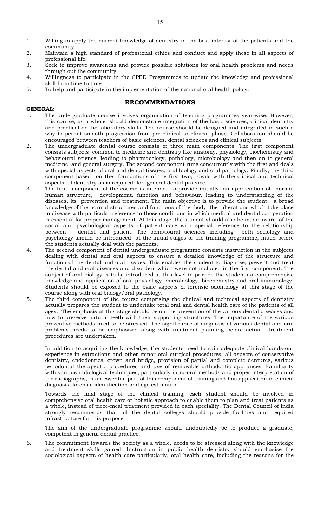- 1. Willing to apply the current knowledge of dentistry in the best interest of the patients and the community.
- 2. Maintain a high standard of professional ethics and conduct and apply these in all aspects of professional life.
- 3. Seek to improve awareness and provide possible solutions for oral health problems and needs through out the community.
- 4. Willingness to participate in the CPED Programmes to update the knowledge and professional skill from time to time.
- 5. To help and participate in the implementation of the national oral health policy.

#### RECOMMENDATIONS

#### GENERAL:

- 1. The undergraduate course involves organisation of teaching programmes year-wise. However, this course, as a whole, should demonstrate integration of the basic sciences, clinical dentistry and practical or the laboratory skills. The course should be designed and integrated in such a way to permit smooth progression from pre-clinical to clinical phase. Collaboration should be encouraged between teachers of basic sciences, dental sciences and clinical subjects.
- 2. The undergraduate dental course consists of three main components. The first component consists subjects common to medicine and dentistry like anatomy, physiology, biochemistry and behavioural science, leading to pharmacology, pathology, microbiology and then on to general medicine and general surgery. The second component runs concurrently with the first and deals with special aspects of oral and dental tissues, oral biology and oral pathology. Finally, the third component based on the foundations of the first two, deals with the clinical and technical aspects of dentistry as is required for general dental practice.
- 3. The first component of the course is intended to provide initially, an appreciation of normal human structure, development, function and behaviour, leading to understanding of the diseases, its prevention and treatment. The main objective is to provide the student a broad knowledge of the normal structures and functions of the body, the alterations which take place in disease with particular reference to those conditions in which medical and dental co-operation is essential for proper management. At this stage, the student should also be made aware of the social and psychological aspects of patient care with special reference to the relationship between dentist and patient. The behavioural sciences including both sociology and psychology should be introduced at the initial stages of the training programme, much before the students actually deal with the patients.
- 4. The second component of dental undergraduate programme consists instruction in the subjects dealing with dental and oral aspects to ensure a detailed knowledge of the structure and function of the dental and oral tissues. This enables the student to diagnose, prevent and treat the dental and oral diseases and disorders which were not included in the first component. The subject of oral biology is to be introduced at this level to provide the students a comprehensive knowledge and application of oral physiology, microbiology, biochemistry and oral immunology. Students should be exposed to the basic aspects of forensic odontology at this stage of the course along with oral biology/oral pathology.
- 5. The third component of the course comprising the clinical and technical aspects of dentistry actually prepares the student to undertake total oral and dental health care of the patients of all ages. The emphasis at this stage should be on the prevention of the various dental diseases and how to preserve natural teeth with their supporting structures. The importance of the various preventive methods need to be stressed. The significance of diagnosis of various dental and oral problems needs to be emphasized along with treatment planning before actual treatment procedures are undertaken.

In addition to acquiring the knowledge, the students need to gain adequate clinical hands-onexperience in extractions and other minor oral surgical procedures, all aspects of conservative dentistry, endodontics, crown and bridge, provision of partial and complete dentures, various periodontal therapeutic procedures and use of removable orthodontic appliances. Familiarity with various radiological techniques, particularly intra-oral methods and proper interpretation of the radiographs, is an essential part of this component of training and has application in clinical diagnosis, forensic identification and age estimation.

Towards the final stage of the clinical training, each student should be involved in comprehensive oral health care or holistic approach to enable them to plan and treat patients as a whole, instead of piece-meal treatment provided in each speciality. The Dental Council of India strongly recommends that all the dental colleges should provide facilities and required infrastructure for this purpose.

The aim of the undergraduate programme should undoubtedly be to produce a graduate, competent in general dental practice.

6. The commitment towards the society as a whole, needs to be stressed along with the knowledge and treatment skills gained. Instruction in public health dentistry should emphasise the sociological aspects of health care particularly, oral health care, including the reasons for the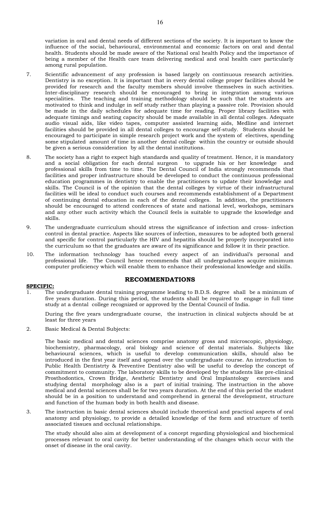variation in oral and dental needs of different sections of the society. It is important to know the influence of the social, behavioural, environmental and economic factors on oral and dental health. Students should be made aware of the National oral health Policy and the importance of being a member of the Health care team delivering medical and oral health care particularly among rural population.

- 7. Scientific advancement of any profession is based largely on continuous research activities. Dentistry is no exception. It is important that in every dental college proper facilities should be provided for research and the faculty members should involve themselves in such activities. Inter-disciplinary research should be encouraged to bring in integration among various specialities. The teaching and training methodology should be such that the students are motivated to think and indulge in self study rather than playing a passive role. Provision should be made in the daily schedules for adequate time for reading. Proper library facilities with adequate timings and seating capacity should be made available in all dental colleges. Adequate audio visual aids, like video tapes, computer assisted learning aids, Medline and internet facilities should be provided in all dental colleges to encourage self-study. Students should be encouraged to participate in simple research project work and the system of electives, spending some stipulated amount of time in another dental college within the country or outside should be given a serious consideration by all the dental institutions.
- 8. The society has a right to expect high standards and quality of treatment. Hence, it is mandatory and a social obligation for each dental surgeon to upgrade his or her knowledge and professional skills from time to time. The Dental Council of India strongly recommends that facilities and proper infrastructure should be developed to conduct the continuous professional education programmes in dentistry to enable the practitioners to update their knowledge and skills. The Council is of the opinion that the dental colleges by virtue of their infrastructural facilities will be ideal to conduct such courses and recommends establishment of a Department of continuing dental education in each of the dental colleges. In addition, the practitioners should be encouraged to attend conferences of state and national level, workshops, seminars and any other such activity which the Council feels is suitable to upgrade the knowledge and skills.
- 9. The undergraduate curriculum should stress the significance of infection and cross- infection control in dental practice. Aspects like sources of infection, measures to be adopted both general and specific for control particularly the HIV and hepatitis should be properly incorporated into the curriculum so that the graduates are aware of its significance and follow it in their practice.
- 10. The information technology has touched every aspect of an individual's personal and professional life. The Council hence recommends that all undergraduates acquire minimum computer proficiency which will enable them to enhance their professional knowledge and skills.

# RECOMMENDATIONS

# SPECIFIC:

The undergraduate dental training programme leading to B.D.S. degree shall be a minimum of five years duration. During this period, the students shall be required to engage in full time study at a dental college recognized or approved by the Dental Council of India.

During the five years undergraduate course, the instruction in clinical subjects should be at least for three years

2. Basic Medical & Dental Subjects:

The basic medical and dental sciences comprise anatomy gross and microscopic, physiology, biochemistry, pharmacology, oral biology and science of dental materials. Subjects like behavioural sciences, which is useful to develop communication skills, should also be introduced in the first year itself and spread over the undergraduate course. An introduction to Public Health Dentistrty & Preventive Dentistry also will be useful to develop the concept of commitment to community. The laboratory skills to be developed by the students like pre-clinical Prosthodontics, Crown Bridge, Aesthetic Dentistry and Oral Implantology exercises and studying dental morphology also is a part of initial training. The instruction in the above medical and dental sciences shall be for two years duration. At the end of this period the student should be in a position to understand and comprehend in general the development, structure and function of the human body in both health and disease.

3. The instruction in basic dental sciences should include theoretical and practical aspects of oral anatomy and physiology, to provide a detailed knowledge of the form and structure of teeth associated tissues and occlusal relationships.

The study should also aim at development of a concept regarding physiological and biochemical processes relevant to oral cavity for better understanding of the changes which occur with the onset of disease in the oral cavity.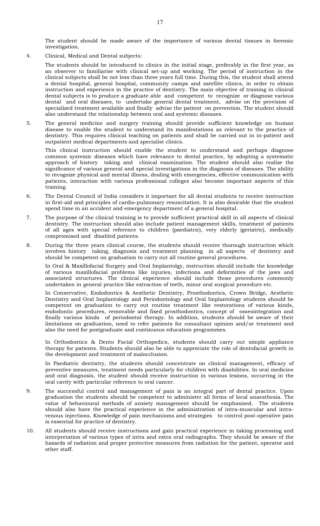The student should be made aware of the importance of various dental tissues in forensic investigation.

4. Clinical, Medical and Dental subjects:

The students should be introduced to clinics in the initial stage, preferably in the first year, as an observer to familiarise with clinical set-up and working. The period of instruction in the clinical subjects shall be not less than three years full time. During this, the student shall attend a dental hospital, general hospital, community camps and satellite clinics, in order to obtain instruction and experience in the practice of dentistry. The main objective of training in clinical dental subjects is to produce a graduate able and competent to recognize or diagnose various dental and oral diseases, to undertake general dental treatment, advise on the provision of specialized treatment available and finally advise the patient on prevention. The student should also understand the relationship between oral and systemic diseases.

5. The general medicine and surgery training should provide sufficient knowledge on human disease to enable the student to understand its manifestations as relevant to the practice of dentistry. This requires clinical teaching on patients and shall be carried out in in-patient and outpatient medical departments and specialist clinics.

This clinical instruction should enable the student to understand and perhaps diagnose common systemic diseases which have relevance to dental practice, by adopting a systematic approach of history taking and clinical examination. The student should also realize the significance of various general and special investigations in the diagnosis of diseases. The ability to recognize physical and mental illness, dealing with emergencies, effective communication with patients, interaction with various professional colleges also become important aspects of this training.

- 6. The Dental Council of India considers it important for all dental students to receive instruction in first-aid and principles of cardio-pulmonary resuscitation. It is also desirable that the student spend time in an accident and emergency department of a general hospital.
- 7. The purpose of the clinical training is to provide sufficient practical skill in all aspects of clinical dentistry. The instruction should also include patient management skills, treatment of patients of all ages with special reference to children (paediatric), very elderly (geriatric), medically compromised and disabled patients.
- 8. During the three years clinical course, the students should receive thorough instruction which involves history taking, diagnosis and treatment planning in all aspects of dentistry and should be competent on graduation to carry out all routine general procedures.

In Oral & Maxillofacial Surgery and Oral Implantolgy, instruction should include the knowledge of various maxillofacial problems like injuries, infections and deformities of the jaws and associated structures. The clinical experience should include those procedures commonly undertaken in general practice like extraction of teeth, minor oral surgical procedure etc.

In Conservative, Endodontics & Aesthetic Dentistry, Prosthodontics, Crown Bridge, Aesthetic Dentistry and Oral Implantology and Periodontology and Oral Implantology students should be competent on graduation to carry out routine treatment like restorations of various kinds, endodontic procedures, removable and fixed prosthodontics, concept of osseointegration and finally various kinds of periodontal therapy. In addition, students should be aware of their limitations on graduation, need to refer patients for consultant opinion and/or treatment and also the need for postgraduate and continuous education programmes.

In Orthodontics & Dento Facial Orthopedics, students should carry out simple appliance therapy for patients. Students should also be able to appreciate the role of dentofacial growth in the development and treatment of malocclusion.

In Paediatric dentistry, the students should concentrate on clinical management, efficacy of preventive measures, treatment needs particularly for children with disabilities. In oral medicine and oral diagnosis, the student should receive instruction in various lesions, occurring in the oral cavity with particular reference to oral cancer.

- 9. The successful control and management of pain is an integral part of dental practice. Upon graduation the students should be competent to administer all forms of local anaesthesia. The value of behavioural methods of anxiety management should be emphasised. The students should also have the practical experience in the administration of intra-muscular and intravenous injections. Knowledge of pain mechanisms and strategies to control post-operative pain is essential for practice of dentistry.
- 10. All students should receive instructions and gain practical experience in taking processing and interpretation of various types of intra and extra oral radiographs. They should be aware of the hazards of radiation and proper protective measures from radiation for the patient, operator and other staff.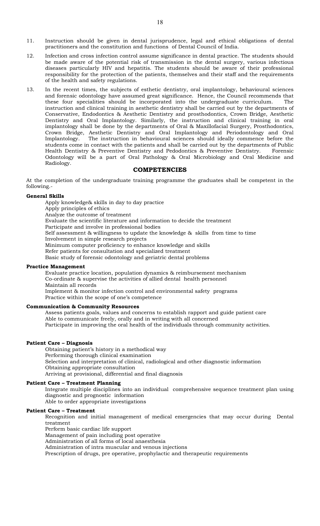- 11. Instruction should be given in dental jurisprudence, legal and ethical obligations of dental practitioners and the constitution and functions of Dental Council of India.
- 12. Infection and cross infection control assume significance in dental practice. The students should be made aware of the potential risk of transmission in the dental surgery, various infectious diseases particularly HIV and hepatitis. The students should be aware of their professional responsibility for the protection of the patients, themselves and their staff and the requirements of the health and safety regulations.
- 13. In the recent times, the subjects of esthetic dentistry, oral implantology, behavioural sciences and forensic odontology have assumed great significance. Hence, the Council recommends that these four specialities should be incorporated into the undergraduate curriculum. The instruction and clinical training in aesthetic dentistry shall be carried out by the departments of Conservative, Endodontics & Aesthetic Dentistry and prosthodontics, Crown Bridge, Aesthetic Dentistry and Oral Implantology. Similarly, the instruction and clinical training in oral implantology shall be done by the departments of Oral & Maxillofacial Surgery, Prosthodontics, Crown Bridge, Aesthetic Dentistry and Oral Implantology and Periodontology and Oral The instruction in behavioural sciences should ideally commence before the students come in contact with the patients and shall be carried out by the departments of Public Health Dentistry & Preventive Dentistry and Pedodontics & Preventive Dentistry. Forensic Odontology will be a part of Oral Pathology & Oral Microbiology and Oral Medicine and Radiology.

## **COMPETENCIES**

At the completion of the undergraduate training programme the graduates shall be competent in the following.-

#### General Skills

Apply knowledge& skills in day to day practice Apply principles of ethics Analyze the outcome of treatment Evaluate the scientific literature and information to decide the treatment Participate and involve in professional bodies Self assessment & willingness to update the knowledge & skills from time to time Involvement in simple research projects Minimum computer proficiency to enhance knowledge and skills Refer patients for consultation and specialized treatment Basic study of forensic odontology and geriatric dental problems

#### Practice Management

Evaluate practice location, population dynamics & reimbursement mechanism Co-ordinate & supervise the activities of allied dental health personnel Maintain all records Implement & monitor infection control and environmental safety programs Practice within the scope of one's competence

#### Communication & Community Resources

Assess patients goals, values and concerns to establish rapport and guide patient care Able to communicate freely, orally and in writing with all concerned Participate in improving the oral health of the individuals through community activities.

#### Patient Care – Diagnosis

Obtaining patient's history in a methodical way Performing thorough clinical examination Selection and interpretation of clinical, radiological and other diagnostic information Obtaining appropriate consultation Arriving at provisional, differential and final diagnosis

#### Patient Care – Treatment Planning

Integrate multiple disciplines into an individual comprehensive sequence treatment plan using diagnostic and prognostic information

Able to order appropriate investigations

### Patient Care – Treatment

Recognition and initial management of medical emergencies that may occur during Dental treatment

Perform basic cardiac life support

Management of pain including post operative

Administration of all forms of local anaesthesia

Administration of intra muscular and venous injections

Prescription of drugs, pre operative, prophylactic and therapeutic requirements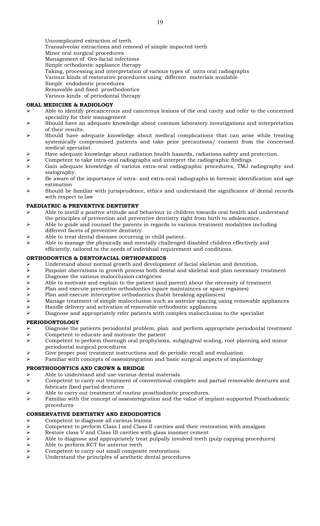Uncomplicated extraction of teeth Transalveolar extractions and removal of simple impacted teeth Minor oral surgical procedures Management of Oro-facial infections Simple orthodontic appliance therapy Taking, processing and interpretation of various types of intra oral radiographs Various kinds of restorative procedures using different materials available Simple endodontic procedures Removable and fixed prosthodontics Various kinds of periodontal therapy

# ORAL MEDICINE & RADIOLOGY

- Able to identify precancerous and cancerous lesions of the oral cavity and refer to the concerned speciality for their management
- $\triangleright$  Should have an adequate knowledge about common laboratory investigations and interpretation of their results.
- Should have adequate knowledge about medical complications that can arise while treating systemically compromised patients and take prior precautions/ consent from the concerned medical specialist.
- Have adequate knowledge about radiation health hazards, radiations safety and protection.
- Competent to take intra-oral radiographs and interpret the radiographic findings
- Gain adequate knowledge of various extra-oral radiographic procedures, TMJ radiography and sialography.
- Be aware of the importance of intra- and extra-oral radiographs in forensic identification and age estimation
- $\triangleright$  Should be familiar with jurisprudence, ethics and understand the significance of dental records with respect to law

### PAEDIATRIC & PREVENTIVE DENTISTRY

- Able to instill a positive attitude and behaviour in children towards oral health and understand the principles of prevention and preventive dentistry right from birth to adolescence.
- Able to guide and counsel the parents in regards to various treatment modalities including different facets of preventive dentistry.
- Able to treat dental diseases occurring in child patient.
- $\triangleright$  Able to manage the physically and mentally challenged disabled children effectively and efficiently, tailored to the needs of individual requirement and conditions.

## ORTHODONTICS & DENTOFACIAL ORTHOPAEDICS

- $\triangleright$  Understand about normal growth and development of facial skeleton and dentition.<br> $\triangleright$  Pinpoint oberrations in growth process both dental and skeletal and plan necessary
- > Pinpoint oberrations in growth process both dental and skeletal and plan necessary treatment<br>> Diagnose the various malocclusion categories
- $\triangleright$  Diagnose the various malocclusion categories<br> $\triangleright$  Able to motivate and explain to the patient (are
- Able to motivate and explain to the patient (and parent) about the necessity of treatment<br>
Plan and execute preventive orthodontics (space maintainces or space regaines)
- Plan and execute preventive orthodontics (space maintainces or space regaines)<br>
Plan and execute interceptive orthodontics (habit breaking appliances)
- Plan and execute interceptive orthodontics (habit breaking appliances)<br>
Planage treatment of simple malocclusion such as anterior spacing usity
- Manage treatment of simple malocclusion such as anterior spacing using removable appliances
- $\triangleright$  Handle delivery and activation of removable orthodontic appliances
- $\triangleright$  Diagnose and appropriately refer patients with complex malocclusion to the specialist

#### PERIODONTOLOGY

- $\triangleright$  Diagnose the patients periodontal problem, plan and perform appropriate periodontal treatment
- $\triangleright$  Competent to educate and motivate the patient  $\triangleright$  Competent to perform thorough oral prophylaxi Competent to perform thorough oral prophylaxis, subgingival scaling, root planning and minor periodontal surgical procedures
- Give proper post treatment instructions and do periodic recall and evaluation
- Familiar with concepts of osseointegration and basic surgical aspects of implantology

# PROSTHODONTICS AND CROWN & BRIDGE

- Able to understand and use various dental materials
- Competent to carry out treatment of conventional complete and partial removable dentures and fabricate fixed partial dentures
- Able to carry out treatment of routine prosthodontic procedures.
- $\triangleright$  Familiar with the concept of osseointegration and the value of implant-supported Prosthodontic procedures

# CONSERVATIVE DENTISTRY AND ENDODONTICS

- Competent to diagnose all carious lesions
- Competent to perform Class I and Class II cavities and their restoration with amalgam
- 
- Restore class V and Class III cavities with glass ionomer cement<br>
Able to diagnose and appropriately treat pulpally involved teeth<br>
Able to perform RCT for anterior teeth Able to diagnose and appropriately treat pulpally involved teeth (pulp capping procedures)
- Able to perform RCT for anterior teeth<br>  $\triangleright$  Competent to carry out small composity
- Competent to carry out small composite restorations
- Understand the principles of aesthetic dental procedures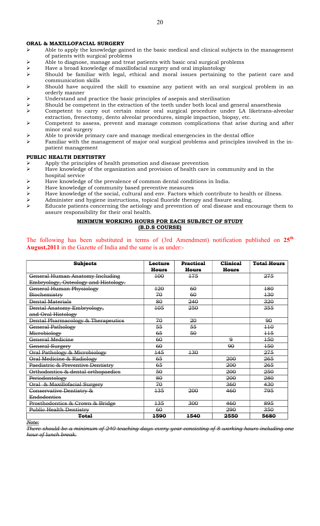#### ORAL & MAXILLOFACIAL SURGERY

- $\triangleright$  Able to apply the knowledge gained in the basic medical and clinical subjects in the management of patients with surgical problems
- $\triangleright$  Able to diagnose, manage and treat patients with basic oral surgical problems
- Have a broad knowledge of maxillofacial surgery and oral implantology
- Should be familiar with legal, ethical and moral issues pertaining to the patient care and communication skills
- $\triangleright$  Should have acquired the skill to examine any patient with an oral surgical problem in an orderly manner
- Understand and practice the basic principles of asepsis and sterilisation
- $\triangleright$  Should be competent in the extraction of the teeth under both local and general anaesthesia<br>  $\triangleright$  Competent to carry out certain minor oral surgical procedure under LA liketrans-alve
- Competent to carry out certain minor oral surgical procedure under LA liketrans-alveolar extraction, frenectomy, dento alveolar procedures, simple impaction, biopsy, etc.
- $\triangleright$  Competent to assess, prevent and manage common complications that arise during and after minor oral surgery
- Able to provide primary care and manage medical emergencies in the dental office
- Familiar with the management of major oral surgical problems and principles involved in the inpatient management

#### PUBLIC HEALTH DENTISTRY

- Apply the principles of health promotion and disease prevention
- $\triangleright$  Have knowledge of the organization and provision of health care in community and in the hospital service
- Have knowledge of the prevalence of common dental conditions in India.
- $\triangleright$  Have knowledge of community based preventive measures<br> $\triangleright$  Have knowledge of the social, cultural and env. Factors wh
- $\triangleright$  Have knowledge of the social, cultural and env. Factors which contribute to health or illness.<br>
Administer and hygiene instructions, topical fluoride therapy and fissure sealing.
- Administer and hygiene instructions, topical fluoride therapy and fissure sealing.<br>
Figure to principal the action of and disease and eng-
- Educate patients concerning the aetiology and prevention of oral disease and encourage them to assure responsibility for their oral health.

### MINIMUM WORKING HOURS FOR EACH SUBJECT OF STUDY (B.D.S COURSE)

The following has been substituted in terms of (3rd Amendment) notification published on  $25<sup>th</sup>$ August,2011 in the Gazette of India and the same is as under:-

| <b>Subjects</b>                      | Lecture          | <b>Practical</b> | <b>Clinical</b> | <b>Total Hours</b> |
|--------------------------------------|------------------|------------------|-----------------|--------------------|
|                                      | <del>Hours</del> | <b>Hours</b>     | <b>Hours</b>    |                    |
| General Human Anatomy Including      | 100              | 175              |                 | 275                |
| Embryology, Osteology and Histology. |                  |                  |                 |                    |
| General Human Physiology             | 120              | 60               |                 | 180                |
| Biochemistry                         | 70               | 60               |                 | 430                |
| <b>Dental Materials</b>              | 80               | 240              |                 | 320                |
| Dental Anatomy Embryology,           | 105              | 250              |                 | 355                |
| and Oral Histology                   |                  |                  |                 |                    |
| Dental Pharmacology & Therapeutics   | 70               | 20               |                 | 90                 |
| General Pathology                    | 55               | 55               |                 | $+10$              |
| Microbiology                         | 65               | 50               |                 | $+15$              |
| General Medicine                     | 60               |                  | 9               | 450                |
| General Surgery                      | 60               |                  | 90              | 150                |
| Oral Pathology & Microbiology        | $\frac{145}{5}$  | 130              |                 | 275                |
| Oral Medicine & Radiology            | 65               |                  | 200             | 265                |
| Paediatric & Preventive Dentistry    | 65               |                  | 200             | 265                |
| Orthodontics & dental orthopaedics   | 50               |                  | 200             | 250                |
| Periodontology                       | 80               |                  | 200             | 280                |
| Oral & Maxillofacial Surgery         | 70               |                  | 360             | 430                |
| Conservative Dentistry &             | 135              | 200              | 460             | 795                |
| Endodontics                          |                  |                  |                 |                    |
| Prosthodontics & Crown & Bridge      | 135              | 300              | 460             | 895                |
| <b>Public Health Dentistry</b>       | 60               |                  | 290             | 350                |
| <b>Total</b>                         | 1590             | 1540             | 2550            | 5680               |

Note:

There should be a minimum of 240 teaching days every year consisting of 8 working hours including one hour of lunch break.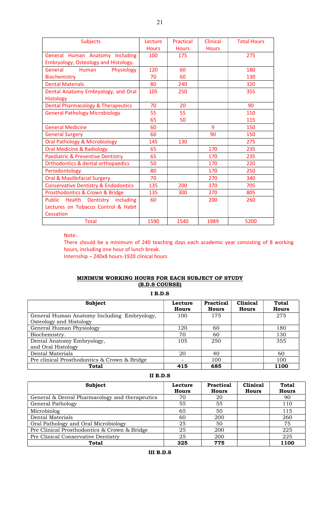| <b>Subjects</b>                                 | Lecture      | Practical    | <b>Clinical</b> | <b>Total Hours</b> |
|-------------------------------------------------|--------------|--------------|-----------------|--------------------|
|                                                 | <b>Hours</b> | <b>Hours</b> | <b>Hours</b>    |                    |
| General Human Anatomy Including                 | 100          | 175          |                 | 275                |
| Embryology, Osteology and Histology.            |              |              |                 |                    |
| General<br>Human<br>Physiology                  | 120          | 60           |                 | 180                |
| Biochemistry                                    | 70           | 60           |                 | 130                |
| <b>Dental Materials</b>                         | 80           | 240          |                 | 320                |
| Dental Anatomy Embryology, and Oral             | 105          | 250          |                 | 355                |
| Histology                                       |              |              |                 |                    |
| <b>Dental Pharmacology &amp; Therapeutics</b>   | 70           | 20           |                 | 90                 |
| <b>General Pathology Microbiology</b>           | 55           | 55           |                 | 110                |
|                                                 | 65           | 50           |                 | 115                |
| <b>General Medicine</b>                         | 60           |              | 9               | 150                |
| <b>General Surgery</b>                          | 60           |              | 90              | 150                |
| <b>Oral Pathology &amp; Microbiology</b>        | 145          | 130          |                 | 275                |
| <b>Oral Medicine &amp; Radiology</b>            | 65           |              | 170             | 235                |
| <b>Paediatric &amp; Preventive Dentistry</b>    | 65           |              | 170             | 235                |
| <b>Orthodontics &amp; dental orthopaedics</b>   | 50           |              | 170             | 220                |
| Periodontology                                  | 80           |              | 170             | 250                |
| <b>Oral &amp; Maxillofacial Surgery</b>         | 70           |              | 270             | 340                |
| <b>Conservative Dentistry &amp; Endodontics</b> | 135          | 200          | 370             | 705                |
| Prosthodontics & Crown & Bridge                 | 135          | 300          | 370             | 805                |
| Public Health Dentistry including               | 60           |              | 200             | 260                |
| Lectures on Tobacco Control & Habit             |              |              |                 |                    |
| Cessation                                       |              |              |                 |                    |
| <b>Total</b>                                    | 1590         | 1540         | 1989            | 5200               |

# Note:

 There should be a minimum of 240 teaching days each academic year consisting of 8 working hours, including one hour of lunch break. Internship – 240x8 hours-1920 clinical hours

# MINIMUM WORKING HOURS FOR EACH SUBJECT OF STUDY (B.D.S COURSE)

I B.D.S

| Subject                                      | Lecture<br><b>Hours</b> | <b>Practical</b><br><b>Hours</b> | <b>Clinical</b><br>Hours | <b>Total</b><br><b>Hours</b> |
|----------------------------------------------|-------------------------|----------------------------------|--------------------------|------------------------------|
| General Human Anatomy Including Embryology,  | 100                     | 175                              |                          | 275                          |
| Osteology and Histology                      |                         |                                  |                          |                              |
| General Human Physiology                     | 120                     | 60                               |                          | 180                          |
| Biochemistry.                                | 70                      | 60                               |                          | 130                          |
| Dental Anatomy Embryology,                   | 105                     | 250                              |                          | 355                          |
| and Oral Histology                           |                         |                                  |                          |                              |
| Dental Materials                             | 20                      | 40                               |                          | 60                           |
| Pre clinical Prosthodontics & Crown & Bridge |                         | 100                              |                          | 100                          |
| Total                                        | 415                     | 685                              |                          | 1100                         |

| Subject                                        | Lecture<br>Hours | <b>Practical</b><br>Hours | Clinical<br>Hours | <b>Total</b><br><b>Hours</b> |
|------------------------------------------------|------------------|---------------------------|-------------------|------------------------------|
| General & Dental Pharmacology and therapeutics | 70               | 20                        |                   | 90                           |
| General Pathology                              | 55               | 55                        |                   | 110                          |
| Microbiolog                                    | 65               | 50                        |                   | 115                          |
| Dental Materials                               | 60               | 200                       |                   | 260                          |
| Oral Pathology and Oral Microbiology           | 25               | 50                        |                   | 75                           |
| Pre Clinical Prosthodontics & Crown & Bridge   | 25               | 200                       |                   | 225                          |
| Pre Clinical Conservative Dentistry            | 25               | 200                       |                   | 225                          |
| Total                                          | 325              | 775                       |                   | 1100                         |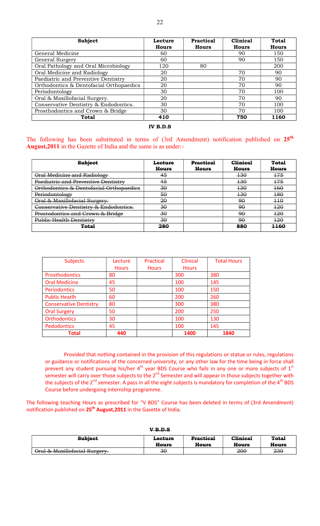| <b>Subject</b>                          | Lecture      | Practical | Clinical     | Total        |
|-----------------------------------------|--------------|-----------|--------------|--------------|
|                                         | <b>Hours</b> | Hours     | <b>Hours</b> | <b>Hours</b> |
| General Medicine                        | 60           |           | 90           | 150          |
| General Surgery                         | 60           |           | 90           | 150          |
| Oral Pathology and Oral Microbiology    | 120          | 80        |              | 200          |
| Oral Medicine and Radiology             | 20           |           | 70           | 90           |
| Paediatric and Preventive Dentistry     | 20           |           | 70           | 90           |
| Orthodontics & Dentofacial Orthopaedics | 20           |           | 70           | 90           |
| Periodontology                          | 30           |           | 70           | 100          |
| Oral & Maxillofacial Surgery.           | 20           |           | 70           | 90           |
| Conservative Dentistry & Endodontics.   | 30           |           | 70           | 100          |
| Prosthodontics and Crown & Bridge       | 30           |           | 70           | 100          |
| <b>Total</b>                            | 410          |           | 750          | 1160         |

IV B.D.S

The following has been substituted in terms of (3rd Amendment) notification published on 25<sup>th</sup> August,2011 in the Gazette of India and the same is as under:-

| <b>Subject</b>                          | Lecture      | <b>Practical</b> | <b>Clinical</b> | <b>Total</b> |
|-----------------------------------------|--------------|------------------|-----------------|--------------|
|                                         | <b>Hours</b> | <b>Hours</b>     | <b>Hours</b>    | <b>Hours</b> |
| Oral Medicine and Radiology             | 45           |                  | 430             | 175          |
| Paediatric and Preventive Dentistry     | 45           |                  | 430             | 175          |
| Orthodontics & Dentofacial Orthopaedics | 30           |                  | 130             | 460          |
| Periodontology                          | 50           |                  | <del>130</del>  | 180          |
| Oral & Maxillofacial Surgery.           | 20           |                  | 90              | 110          |
| Conservative Dentistry & Endodontics.   | 30           |                  | 90              | 120          |
| Prostodontics and Crown & Bridge        | 30           |                  | 90              | 120          |
| <b>Public Health Dentistry</b>          | 30           |                  | 90              | 120          |
| <del>Total</del>                        | 280          |                  | 880             | 1160         |

| <b>Subjects</b>               | Lecture      | Practical    | Clinical     | <b>Total Hours</b> |
|-------------------------------|--------------|--------------|--------------|--------------------|
|                               | <b>Hours</b> | <b>Hours</b> | <b>Hours</b> |                    |
| <b>Prosthodontics</b>         | 80           |              | 300          | 380                |
| <b>Oral Medicine</b>          | 45           |              | 100          | 145                |
| <b>Periodontics</b>           | 50           |              | 100          | 150                |
| <b>Public Heatlh</b>          | 60           |              | 200          | 260                |
| <b>Conservative Dentistry</b> | 80           |              | 300          | 380                |
| <b>Oral Surgery</b>           | 50           |              | 200          | 250                |
| <b>Orthodontics</b>           | 30           |              | 100          | 130                |
| Pedodontics                   | 45           |              | 100          | 145                |
| Total                         | 440          |              | 1400         | 1840               |

Provided that nothing contained in the provision of this regulations or statue or rules, regulations or guidance or notifications of the concerned university, or any other law for the time being in force shall prevent any student pursuing his/her  $4^{\text{th}}$  year BDS Course who fails in any one or more subjects of  $1^{\text{st}}$ semester will carry over those subjects to the 2<sup>nd</sup> Semester and will appear in those subjects together with the subjects of the 2<sup>nd</sup> semester. A pass in all the eight subjects is mandatory for completion of the 4<sup>th</sup> BDS Course before undergoing internship programme.

The following teaching Hours as prescribed for "V BDS" Course has been deleted in terms of (3rd Amendment) notification published on 25<sup>th</sup> August, 2011 in the Gazette of India.

| <del>v b.v.s</del>                                                              |                                |                                  |                                 |                              |  |  |
|---------------------------------------------------------------------------------|--------------------------------|----------------------------------|---------------------------------|------------------------------|--|--|
| <b>Subject</b>                                                                  | <b>Lecture</b><br><b>Hours</b> | <b>Practical</b><br><b>Hours</b> | <b>Clinical</b><br><b>Hours</b> | <b>Total</b><br><b>Hours</b> |  |  |
| $O_{rad}$ $\&$ Mavillaforial Surgery<br><del>oral w maxinoiaciai surgery.</del> | 30                             |                                  | 200                             | 230                          |  |  |

V B.D.S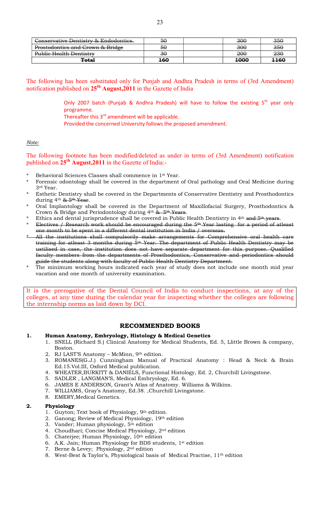| Conservative Dentistry & Endodontics.       | 50  | 300  | 350            |
|---------------------------------------------|-----|------|----------------|
| <b>Prostodontics and Crown &amp; Bridge</b> | 50  | 300  | <del>350</del> |
| Public Health Dentistry                     | 30  | 200  | 230            |
| <b>Total</b>                                | 160 | 1000 | 1160           |

The following has been substituted only for Punjab and Andhra Pradesh in terms of (3rd Amendment) notification published on  $25<sup>th</sup>$  August, 2011 in the Gazette of India

> Only 2007 batch (Punjab & Andhra Pradesh) will have to follow the existing  $5^{th}$  year only programme.

Thereafter this 3<sup>rd</sup> amendment will be applicable.

Provided the concerned University follows the proposed amendment.

## Note:

The following footnote has been modified/deleted as under in terms of (3rd Amendment) notification published on  $25^{th}$  August, 2011 in the Gazette of India:-

- Behavioral Sciences Classes shall commence in 1<sup>st</sup> Year.
- \* Forensic odontology shall be covered in the department of Oral pathology and Oral Medicine during 3rd Year.
- \* Esthetic Dentistry shall be covered in the Departments of Conservative Dentistry and Prosthodontics during 4<sup>th</sup> & 5<sup>th</sup> Year.
- Oral Implantology shall be covered in the Department of Maxillofacial Surgery, Prosthodontics & Crown & Bridge and Periodontology during  $4<sup>th</sup>$  &  $5<sup>th</sup>$  Years.
- Ethics and dental jurisprudence shall be covered in Public Health Dentistry in 4<sup>th</sup> and 5<sup>th</sup> years.
- Electives / Research work should be encouraged during the 5<sup>th</sup> Year lasting for a period of atleast one month to be spent in a different dental institution in India / overseas.
- All the institutions shall compulsorily make arrangements for Comprehensive oral health care training for atleast 3 months during 5th Year. The department of Public Health Dentistry may be ustilised in case, the institution does not have separate department for this purpose. Qualified faculty members from the departments of Prosthodontics, Conservative and periodontics should guide the students along with faculty of Public Health Dentistry Department.
- The minimum working hours indicated each year of study does not include one month mid year vacation and one month of university examination.

It is the prerogative of the Dental Council of India to conduct inspections, at any of the colleges, at any time during the calendar year for inspecting whether the colleges are following the internship norms as laid down by DCI.

# RECOMMENDED BOOKS

#### 1. Human Anatomy, Embryology, Histology & Medical Genetics

- 1. SNELL (Richard S.) Clinical Anatomy for Medical Students, Ed. 5, Llittle Brown & company, Boston.
- 2. RJ LAST'S Anatomy McMinn, 9th edition.
- 3. ROMANES(G.J.) Cunningham Manual of Practical Anatomy : Head & Neck & Brain Ed.15.Vol.III, Oxford Medical publication.
- 4. WHEATER,BURKITT & DANIELS, Functional Histology, Ed. 2, Churchill Livingstone.
- 5. SADLER , LANGMAN'S, Medical Embryology, Ed. 6.
- 6. JAMES E ANDERSON, Grant's Atlas of Anatomy. Williams & Wilkins.
- 7. WILLIAMS, Gray's Anatomy, Ed.38. ,Churchill Livingstone.
- 8. EMERY,Medical Genetics.

#### 2. Physiology

- 1. Guyton; Text book of Physiology, 9th edition.
- 2. Ganong; Review of Medical Physiology, 19th edition
- 3. Vander; Human physiology, 5<sup>th</sup> edition
- 4. Choudhari; Concise Medical Physiology, 2nd edition
- 5. Chaterjee; Human Physiology, 10<sup>th</sup> edition
- 6. A.K. Jain; Human Physiology for BDS students, 1st edition
- 7. Berne & Levey; Physiology, 2nd edition
- 8. West-Best & Taylor's, Physiological basis of Medical Practise, 11th edition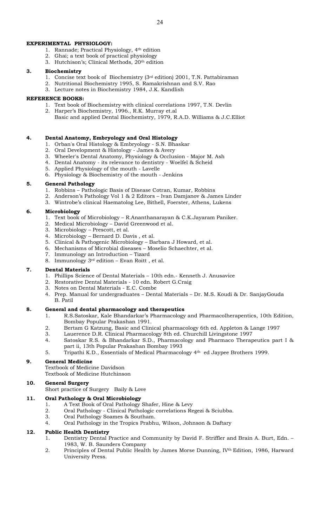## EXPERIMENTAL PHYSIOLOGY:

- 1. Rannade; Practical Physiology, 4th edition
- 2. Ghai; a text book of practical physiology
- 3. Hutchison's; Clinical Methods, 20th edition

## 3. Biochemistry

- 1. Concise text book of Biochemistry ( $3<sup>rd</sup>$  edition) 2001, T.N. Pattabiraman
- 2. Nutritional Biochemistry 1995, S. Ramakrishnan and S.V. Rao
- 3. Lecture notes in Biochemistry 1984, J.K. Kandlish

### REFERENCE BOOKS:

- 1. Text book of Biochemistry with clinical correlations 1997, T.N. Devlin
- 2. Harper's Biochemistry, 1996., R.K. Murray et.al
- Basic and applied Dental Biochemistry, 1979, R.A.D. Williams & J.C.Elliot

# 4. Dental Anatomy, Embryology and Oral Histology

- 1. Orban's Oral Histology & Embryology S.N. Bhaskar
- 2. Oral Development & Histology James & Avery
- 3. Wheeler's Dental Anatomy, Physiology & Occlusion Major M. Ash
- 4. Dental Anatomy its relevance to dentistry Woelfel & Scheid
- 5. Applied Physiology of the mouth Lavelle
- 6. Physiology & Biochemistry of the mouth Jenkins

### 5. General Pathology

- 1. Robbins Pathologic Basis of Disease Cotran, Kumar, Robbins
- 2. Anderson's Pathology Vol 1 & 2 Editors Ivan Damjanov & James Linder
- 3. Wintrobe's clinical Haematolog Lee, Bithell, Foerster, Athens, Lukens

### 6. Microbiology

- 1. Text book of Microbiology R.Ananthanarayan & C.K.Jayaram Paniker.
- 2. Medical Microbiology David Greenwood et al.
- 3. Microbiology Prescott, et al.
- 4. Microbiology Bernard D. Davis , et al.
- 5. Clinical & Pathogenic Microbiology Barbara J Howard, et al.
- 6. Mechanisms of Microbial diseases Moselio Schaechter, et al.
- 7. Immunology an Introduction Tizard
- 8. Immunology  $3<sup>rd</sup>$  edition Evan Roitt, et al.

# 7. Dental Materials

- 1. Phillips Science of Dental Materials 10th edn.- Kenneth J. Anusavice
- 2. Restorative Dental Materials 10 edn. Robert G.Craig
- 3. Notes on Dental Materials E.C. Combe
- 4. Prep. Manual for undergraduates Dental Materials Dr. M.S. Koudi & Dr. SanjayGouda B. Patil

#### 8. General and dental pharmacology and therapeutics

- 1. R.S.Satoskar, Kale Bhandarkar's Pharmacology and Pharmacolherapentics, 10th Edition, Bombay Popular Prakashan 1991.
- 2. Bertam G Katzung, Basic and Clinical pharmacology 6th ed. Appleton & Lange 1997
- 3. Lauerence D.R. Clinical Pharmacology 8th ed. Churchill Livingstone 1997
- 4. Satoskar R.S. & Bhandarkar S.D., Pharmacology and Pharmaco Therapeutics part I & part ii, 13th Popular Prakashan Bombay 1993
- 5. Tripathi K.D., Essentials of Medical Pharmacology 4th ed Jaypee Brothers 1999.

# 9. General Medicine

Textbook of Medicine Davidson Textbook of Medicine Hutchinson

# 10. General Surgery

Short practice of Surgery Baily & Love

# 11. Oral Pathology & Oral Microbiology

- 
- 1. A Text Book of Oral Pathology Shafer, Hine & Levy<br>2. Oral Pathology Clinical Pathologic correlations Re 2. Oral Pathology - Clinical Pathologic correlations Regezi & Sciubba.
- 3. Oral Pathology Soames & Southam.
- 4. Oral Pathology in the Tropics Prabhu, Wilson, Johnson & Daftary

# 12. Public Health Dentistry

- 1. Dentistry Dental Practice and Community by David F. Striffler and Brain A. Burt, Edn. 1983, W. B. Saunders Company
- 2. Principles of Dental Public Health by James Morse Dunning, IV<sup>th</sup> Edition, 1986, Harward University Press.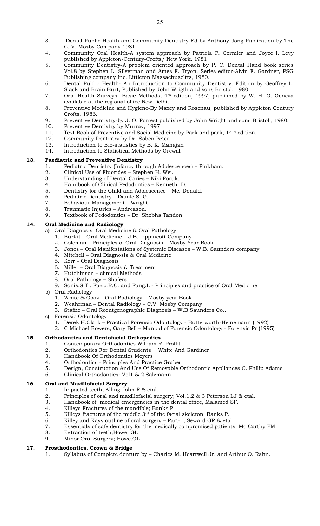- 3. Dental Public Health and Community Dentistry Ed by Anthony Jong Publication by The C. V. Mosby Company 1981
- 4. Community Oral Health-A system approach by Patricia P. Cormier and Joyce I. Levy published by Appleton-Century-Crofts/ New York, 1981
- 5. Community Dentistry-A problem oriented approach by P. C. Dental Hand book series Vol.8 by Stephen L. Silverman and Ames F. Tryon, Series editor-Alvin F. Gardner, PSG Publishing company Inc. Littleton Massachuseltts, 1980.
- 6. Dental Public Health- An Introduction to Community Dentistry. Edition by Geoffrey L. Slack and Brain Burt, Published by John Wrigth and sons Bristol, 1980
- 7. Oral Health Surveys- Basic Methods, 4th edition, 1997, published by W. H. O. Geneva available at the regional office New Delhi.
- 8. Preventive Medicine and Hygiene-By Maxcy and Rosenau, published by Appleton Century Crofts, 1986.
- 9. Preventive Dentistry-by J. O. Forrest published by John Wright and sons Bristoli, 1980.<br>10. Preventive Dentistry by Murray, 1997.
- Preventive Dentistry by Murray, 1997.
- 11. Text Book of Preventive and Social Medicine by Park and park, 14th edition.
- 12. Community Dentistry by Dr. Soben Peter.
- 13. Introduction to Bio-statistics by B. K. Mahajan
- 14. Introduction to Statistical Methods by Grewal

# 13. Paediatric and Preventive Dentistry

- 1. Pediatric Dentistry (Infancy through Adolescences) Pinkham.
- 2. Clinical Use of Fluorides Stephen H. Wei.
- 3. Understanding of Dental Caries Niki Foruk.
- 4. Handbook of Clinical Pedodontics Kenneth. D.
- 5. Dentistry for the Child and Adolescence Mc. Donald.
- 6. Pediatric Dentistry Damle S. G.
- 7. Behaviour Management Wright
- 8. Traumatic Injuries Andreason.
- 9. Textbook of Pedodontics Dr. Shobha Tandon

# 14. Oral Medicine and Radiology

Oral Diagnosis, Oral Medicine & Oral Pathology

- 1. Burkit Oral Medicine J.B. Lippincott Company
- 2. Coleman Principles of Oral Diagnosis Mosby Year Book
- 3. Jones Oral Manifestations of Systemic Diseases W.B. Saunders company
- 4. Mitchell Oral Diagnosis & Oral Medicine
- 5. Kerr Oral Diagnosis
- 6. Miller Oral Diagnosis & Treatment
- 7. Hutchinson clinical Methods
- 8. Oral Pathology Shafers
- 9. Sonis.S.T., Fazio.R.C. and Fang.L Principles and practice of Oral Medicine
- b) Oral Radiology
	- 1. White & Goaz Oral Radiology Mosby year Book
	- 2. Weahrman Dental Radiology C.V. Mosby Company
	- 3. Stafne Oral Roentgenographic Diagnosis W.B.Saunders Co.,
- c) Forensic Odontology
	- 1. Derek H.Clark Practical Forensic Odontology Butterworth-Heinemann (1992) 2. C Michael Bowers, Gary Bell – Manual of Forensic Odontology - Forensic Pr (1995)

# 15. Orthodontics and Dentofacial Orthopedics

- 1. Contemporary Orthodontics William R. Proffit
- 2. Orthodontics For Dental Students White And Gardiner
- 3. Handbook Of Orthodontics Moyers
- 4. Orthodontics Principles And Practice Graber
- 5. Design, Construction And Use Of Removable Orthodontic Appliances C. Philip Adams
- 6. Clinical Orthodontics: Vol1 & 2 Salzmann

# 16. Oral and Maxillofacial Surgery

- 1. Impacted teeth; Alling John F & etal.
- 2. Principles of oral and maxillofacial surgery; Vol.1,2 & 3 Peterson LJ & etal.<br>3. Handbook of medical emergencies in the dental office. Malamed SF.
- Handbook of medical emergencies in the dental office, Malamed SF.
- 4. Killeys Fractures of the mandible; Banks P.<br>5. Killeys fractures of the middle  $3^{rd}$  of the factures
- Killeys fractures of the middle  $3<sup>rd</sup>$  of the facial skeleton; Banks P.
- 6. Killey and Kays outline of oral surgery Part-1; Seward GR & etal
- 7. Essentials of safe dentistry for the medically compromised patients; Mc Carthy FM
- 8. Extraction of teeth;Howe, GL
- 9. Minor Oral Surgery; Howe.GL

# 17. Prosthodontics, Crown & Bridge

1. Syllabus of Complete denture by – Charles M. Heartwell Jr. and Arthur O. Rahn.